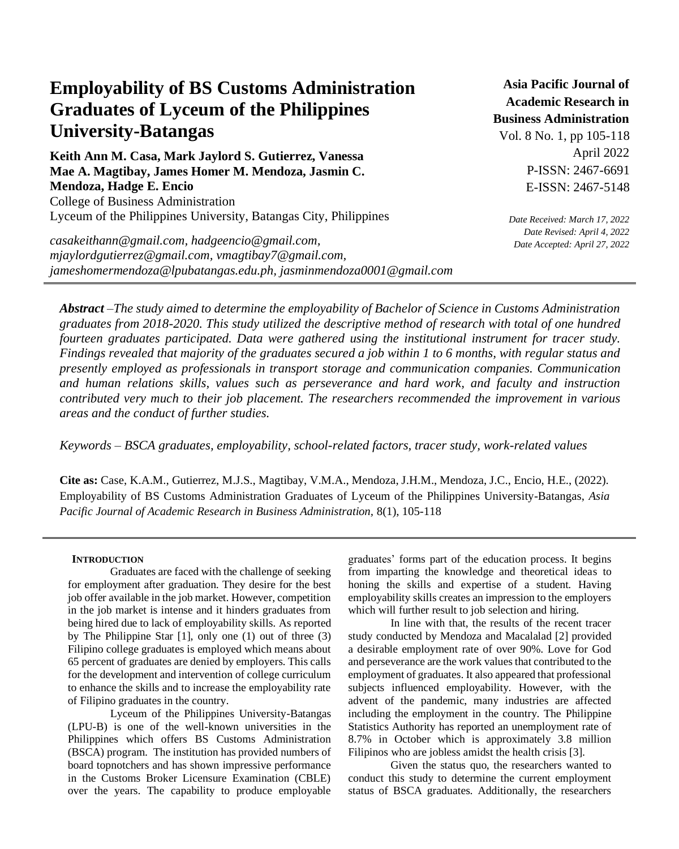# **Employability of BS Customs Administration Graduates of Lyceum of the Philippines University-Batangas**

**Keith Ann M. Casa, Mark Jaylord S. Gutierrez, Vanessa Mae A. Magtibay, James Homer M. Mendoza, Jasmin C. Mendoza, Hadge E. Encio** College of Business Administration Lyceum of the Philippines University, Batangas City, Philippines

*casakeithann@gmail.com, hadgeencio@gmail.com, mjaylordgutierrez@gmail.com, vmagtibay7@gmail.com, jameshomermendoza@lpubatangas.edu.ph, jasminmendoza0001@gmail.com*

**Asia Pacific Journal of Academic Research in Business Administration** 

Vol. 8 No. 1, pp 105-118 April 2022 P-ISSN: 2467-6691 E-ISSN: 2467-5148

*Date Received: March 17, 2022 Date Revised: April 4, 2022 Date Accepted: April 27, 2022* 

*Abstract –The study aimed to determine the employability of Bachelor of Science in Customs Administration graduates from 2018-2020. This study utilized the descriptive method of research with total of one hundred fourteen graduates participated. Data were gathered using the institutional instrument for tracer study. Findings revealed that majority of the graduates secured a job within 1 to 6 months, with regular status and presently employed as professionals in transport storage and communication companies. Communication and human relations skills, values such as perseverance and hard work, and faculty and instruction contributed very much to their job placement. The researchers recommended the improvement in various areas and the conduct of further studies.*

*Keywords – BSCA graduates, employability, school-related factors, tracer study, work-related values*

**Cite as:** Case, K.A.M., Gutierrez, M.J.S., Magtibay, V.M.A., Mendoza, J.H.M., Mendoza, J.C., Encio, H.E., (2022). Employability of BS Customs Administration Graduates of Lyceum of the Philippines University-Batangas, *Asia Pacific Journal of Academic Research in Business Administration,* 8(1), 105-118

# **INTRODUCTION**

Graduates are faced with the challenge of seeking for employment after graduation. They desire for the best job offer available in the job market. However, competition in the job market is intense and it hinders graduates from being hired due to lack of employability skills. As reported by The Philippine Star [1], only one (1) out of three (3) Filipino college graduates is employed which means about 65 percent of graduates are denied by employers. This calls for the development and intervention of college curriculum to enhance the skills and to increase the employability rate of Filipino graduates in the country.

Lyceum of the Philippines University-Batangas (LPU-B) is one of the well-known universities in the Philippines which offers BS Customs Administration (BSCA) program. The institution has provided numbers of board topnotchers and has shown impressive performance in the Customs Broker Licensure Examination (CBLE) over the years. The capability to produce employable graduates' forms part of the education process. It begins from imparting the knowledge and theoretical ideas to honing the skills and expertise of a student. Having employability skills creates an impression to the employers which will further result to job selection and hiring.

In line with that, the results of the recent tracer study conducted by Mendoza and Macalalad [2] provided a desirable employment rate of over 90%. Love for God and perseverance are the work values that contributed to the employment of graduates. It also appeared that professional subjects influenced employability. However, with the advent of the pandemic, many industries are affected including the employment in the country. The Philippine Statistics Authority has reported an unemployment rate of 8.7% in October which is approximately 3.8 million Filipinos who are jobless amidst the health crisis [3].

Given the status quo, the researchers wanted to conduct this study to determine the current employment status of BSCA graduates. Additionally, the researchers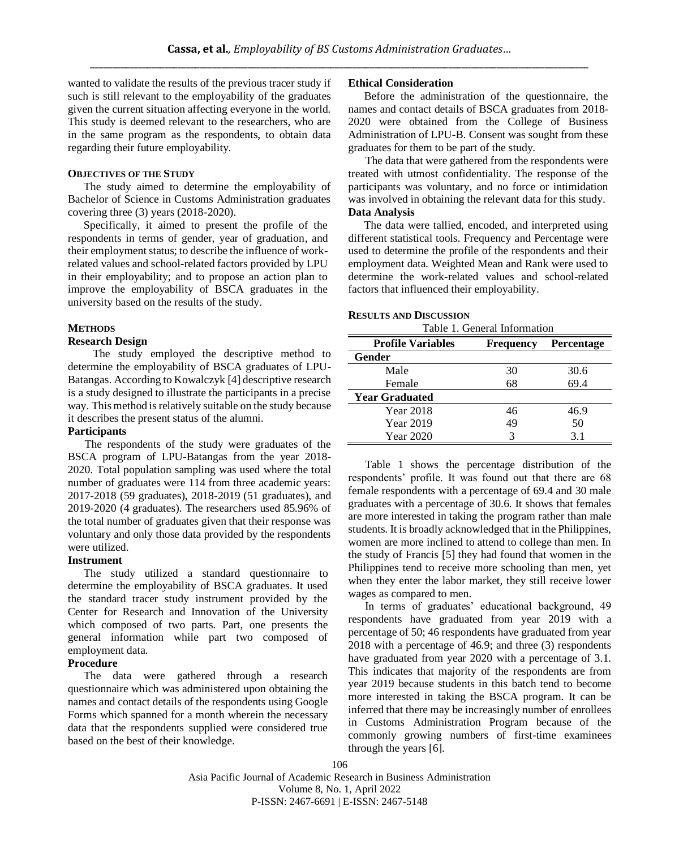wanted to validate the results of the previous tracer study if such is still relevant to the employability of the graduates given the current situation affecting everyone in the world. This study is deemed relevant to the researchers, who are in the same program as the respondents, to obtain data regarding their future employability.

## **OBJECTIVES OF THE STUDY**

The study aimed to determine the employability of Bachelor of Science in Customs Administration graduates covering three (3) years (2018-2020).

Specifically, it aimed to present the profile of the respondents in terms of gender, year of graduation, and their employment status; to describe the influence of workrelated values and school-related factors provided by LPU in their employability; and to propose an action plan to improve the employability of BSCA graduates in the university based on the results of the study.

## **METHODS**

# **Research Design**

The study employed the descriptive method to determine the employability of BSCA graduates of LPU-Batangas. According to Kowalczyk [4] descriptive research is a study designed to illustrate the participants in a precise way. This method is relatively suitable on the study because it describes the present status of the alumni.

# **Participants**

The respondents of the study were graduates of the BSCA program of LPU-Batangas from the year 2018- 2020. Total population sampling was used where the total number of graduates were 114 from three academic years: 2017-2018 (59 graduates), 2018-2019 (51 graduates), and 2019-2020 (4 graduates). The researchers used 85.96% of the total number of graduates given that their response was voluntary and only those data provided by the respondents were utilized.

# **Instrument**

The study utilized a standard questionnaire to determine the employability of BSCA graduates. It used the standard tracer study instrument provided by the Center for Research and Innovation of the University which composed of two parts. Part, one presents the general information while part two composed of employment data.

# **Procedure**

The data were gathered through a research questionnaire which was administered upon obtaining the names and contact details of the respondents using Google Forms which spanned for a month wherein the necessary data that the respondents supplied were considered true based on the best of their knowledge.

## **Ethical Consideration**

Before the administration of the questionnaire, the names and contact details of BSCA graduates from 2018- 2020 were obtained from the College of Business Administration of LPU-B. Consent was sought from these graduates for them to be part of the study.

The data that were gathered from the respondents were treated with utmost confidentiality. The response of the participants was voluntary, and no force or intimidation was involved in obtaining the relevant data for this study. **Data Analysis**

The data were tallied, encoded, and interpreted using different statistical tools. Frequency and Percentage were used to determine the profile of the respondents and their employment data. Weighted Mean and Rank were used to determine the work-related values and school-related factors that influenced their employability.

### **RESULTS AND DISCUSSION**

Table 1. General Information

| <b>Profile Variables</b> | <b>Frequency</b> | <b>Percentage</b> |
|--------------------------|------------------|-------------------|
| Gender                   |                  |                   |
| Male                     | 30               | 30.6              |
| Female                   | 68               | 69.4              |
| <b>Year Graduated</b>    |                  |                   |
| Year 2018                | 46               | 46.9              |
| Year 2019                | 49               | 50                |
| Year 2020                | 3                | 3.1               |

Table 1 shows the percentage distribution of the respondents' profile. It was found out that there are 68 female respondents with a percentage of 69.4 and 30 male graduates with a percentage of 30.6. It shows that females are more interested in taking the program rather than male students. It is broadly acknowledged that in the Philippines, women are more inclined to attend to college than men. In the study of Francis [5] they had found that women in the Philippines tend to receive more schooling than men, yet when they enter the labor market, they still receive lower wages as compared to men.

In terms of graduates' educational background, 49 respondents have graduated from year 2019 with a percentage of 50; 46 respondents have graduated from year 2018 with a percentage of 46.9; and three (3) respondents have graduated from year 2020 with a percentage of 3.1. This indicates that majority of the respondents are from year 2019 because students in this batch tend to become more interested in taking the BSCA program. It can be inferred that there may be increasingly number of enrollees in Customs Administration Program because of the commonly growing numbers of first-time examinees through the years [6].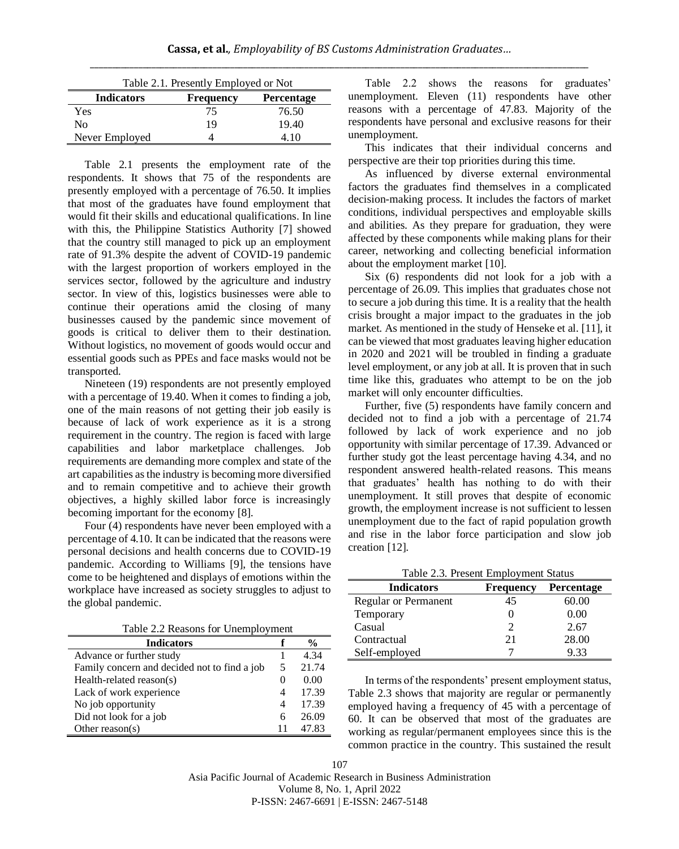| Table 2.1. Presently Employed or Not |                  |                   |  |
|--------------------------------------|------------------|-------------------|--|
| <b>Indicators</b>                    | <b>Frequency</b> | <b>Percentage</b> |  |
| Yes                                  | 75               | 76.50             |  |
| Nο                                   | 19               | 19.40             |  |
| Never Employed                       |                  | 4.10              |  |

Table 2.1 presents the employment rate of the respondents. It shows that 75 of the respondents are presently employed with a percentage of 76.50. It implies that most of the graduates have found employment that would fit their skills and educational qualifications. In line with this, the Philippine Statistics Authority [7] showed that the country still managed to pick up an employment rate of 91.3% despite the advent of COVID-19 pandemic with the largest proportion of workers employed in the services sector, followed by the agriculture and industry sector. In view of this, logistics businesses were able to continue their operations amid the closing of many businesses caused by the pandemic since movement of goods is critical to deliver them to their destination. Without logistics, no movement of goods would occur and essential goods such as PPEs and face masks would not be transported.

Nineteen (19) respondents are not presently employed with a percentage of 19.40. When it comes to finding a job, one of the main reasons of not getting their job easily is because of lack of work experience as it is a strong requirement in the country. The region is faced with large capabilities and labor marketplace challenges. Job requirements are demanding more complex and state of the art capabilities as the industry is becoming more diversified and to remain competitive and to achieve their growth objectives, a highly skilled labor force is increasingly becoming important for the economy [8].

Four (4) respondents have never been employed with a percentage of 4.10. It can be indicated that the reasons were personal decisions and health concerns due to COVID-19 pandemic. According to Williams [9], the tensions have come to be heightened and displays of emotions within the workplace have increased as society struggles to adjust to the global pandemic.

Table 2.2 Reasons for Unemployment

| <b>Indicators</b>                            |          | $\frac{0}{0}$ |
|----------------------------------------------|----------|---------------|
| Advance or further study                     |          | 4.34          |
| Family concern and decided not to find a job | 5        | 21.74         |
| Health-related reason(s)                     | $\theta$ | 0.00          |
| Lack of work experience                      | 4        | 17.39         |
| No job opportunity                           | 4        | 17.39         |
| Did not look for a job                       | 6        | 26.09         |
| Other reason( $s$ )                          |          | 47.83         |

Table 2.2 shows the reasons for graduates' unemployment. Eleven (11) respondents have other reasons with a percentage of 47.83. Majority of the respondents have personal and exclusive reasons for their unemployment.

This indicates that their individual concerns and perspective are their top priorities during this time.

As influenced by diverse external environmental factors the graduates find themselves in a complicated decision-making process. It includes the factors of market conditions, individual perspectives and employable skills and abilities. As they prepare for graduation, they were affected by these components while making plans for their career, networking and collecting beneficial information about the employment market [10].

Six (6) respondents did not look for a job with a percentage of 26.09. This implies that graduates chose not to secure a job during this time. It is a reality that the health crisis brought a major impact to the graduates in the job market. As mentioned in the study of Henseke et al. [11], it can be viewed that most graduates leaving higher education in 2020 and 2021 will be troubled in finding a graduate level employment, or any job at all. It is proven that in such time like this, graduates who attempt to be on the job market will only encounter difficulties.

Further, five (5) respondents have family concern and decided not to find a job with a percentage of 21.74 followed by lack of work experience and no job opportunity with similar percentage of 17.39. Advanced or further study got the least percentage having 4.34, and no respondent answered health-related reasons. This means that graduates' health has nothing to do with their unemployment. It still proves that despite of economic growth, the employment increase is not sufficient to lessen unemployment due to the fact of rapid population growth and rise in the labor force participation and slow job creation [12].

Table 2.3. Present Employment Status

| <b>Indicators</b>           | <b>Frequency</b> | <b>Percentage</b> |
|-----------------------------|------------------|-------------------|
| <b>Regular or Permanent</b> | 45               | 60.00             |
| Temporary                   | $_{0}$           | 0.00              |
| Casual                      | 2                | 2.67              |
| Contractual                 | 21               | 28.00             |
| Self-employed               |                  | 9.33              |

In terms of the respondents' present employment status, Table 2.3 shows that majority are regular or permanently employed having a frequency of 45 with a percentage of 60. It can be observed that most of the graduates are working as regular/permanent employees since this is the common practice in the country. This sustained the result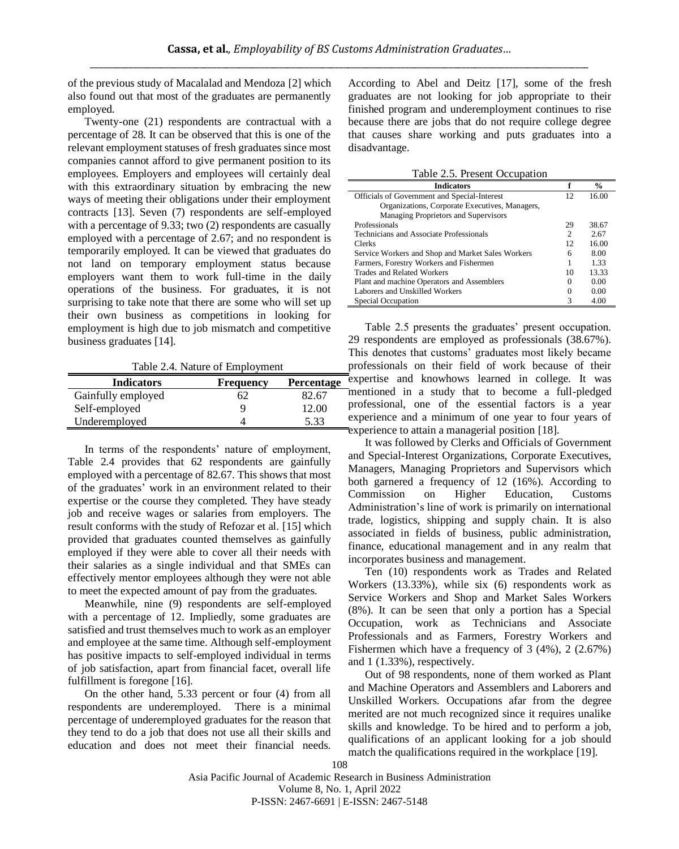of the previous study of Macalalad and Mendoza [2] which also found out that most of the graduates are permanently employed.

Twenty-one (21) respondents are contractual with a percentage of 28. It can be observed that this is one of the relevant employment statuses of fresh graduates since most companies cannot afford to give permanent position to its employees. Employers and employees will certainly deal with this extraordinary situation by embracing the new ways of meeting their obligations under their employment contracts [13]. Seven (7) respondents are self-employed with a percentage of 9.33; two (2) respondents are casually employed with a percentage of 2.67; and no respondent is temporarily employed. It can be viewed that graduates do not land on temporary employment status because employers want them to work full-time in the daily operations of the business. For graduates, it is not surprising to take note that there are some who will set up their own business as competitions in looking for employment is high due to job mismatch and competitive business graduates [14].

Table 2.4. Nature of Employment

| <b>Indicators</b>  | <b>Frequency</b> | <b>Percentage</b> |
|--------------------|------------------|-------------------|
| Gainfully employed | 62               | 82.67             |
| Self-employed      |                  | 12.00             |
| Underemployed      |                  | 5.33              |

In terms of the respondents' nature of employment, Table 2.4 provides that 62 respondents are gainfully employed with a percentage of 82.67. This shows that most of the graduates' work in an environment related to their expertise or the course they completed. They have steady job and receive wages or salaries from employers. The result conforms with the study of Refozar et al. [15] which provided that graduates counted themselves as gainfully employed if they were able to cover all their needs with their salaries as a single individual and that SMEs can effectively mentor employees although they were not able to meet the expected amount of pay from the graduates.

Meanwhile, nine (9) respondents are self-employed with a percentage of 12. Impliedly, some graduates are satisfied and trust themselves much to work as an employer and employee at the same time. Although self-employment has positive impacts to self-employed individual in terms of job satisfaction, apart from financial facet, overall life fulfillment is foregone [16].

On the other hand, 5.33 percent or four (4) from all respondents are underemployed. There is a minimal percentage of underemployed graduates for the reason that they tend to do a job that does not use all their skills and education and does not meet their financial needs.

According to Abel and Deitz [17], some of the fresh graduates are not looking for job appropriate to their finished program and underemployment continues to rise because there are jobs that do not require college degree that causes share working and puts graduates into a disadvantage.

| Table 2.5. Present Occupation |  |  |  |
|-------------------------------|--|--|--|
|-------------------------------|--|--|--|

| <b>Indicators</b>                                 |                             | $\frac{0}{0}$ |
|---------------------------------------------------|-----------------------------|---------------|
| Officials of Government and Special-Interest      | 12                          | 16.00         |
| Organizations, Corporate Executives, Managers,    |                             |               |
| Managing Proprietors and Supervisors              |                             |               |
| Professionals                                     | 29                          | 38.67         |
| Technicians and Associate Professionals           | $\mathcal{D}_{\mathcal{A}}$ | 2.67          |
| Clerks                                            | 12.                         | 16.00         |
| Service Workers and Shop and Market Sales Workers | 6                           | 8.00          |
| Farmers, Forestry Workers and Fishermen           |                             | 1.33          |
| Trades and Related Workers                        | 10                          | 13.33         |
| Plant and machine Operators and Assemblers        | $\theta$                    | 0.00          |
| Laborers and Unskilled Workers                    | $\theta$                    | 0.00          |
| Special Occupation                                | 3                           | 4.00          |

Table 2.5 presents the graduates' present occupation. 29 respondents are employed as professionals (38.67%). This denotes that customs' graduates most likely became professionals on their field of work because of their expertise and knowhows learned in college. It was mentioned in a study that to become a full-pledged professional, one of the essential factors is a year experience and a minimum of one year to four years of experience to attain a managerial position [18].

It was followed by Clerks and Officials of Government and Special-Interest Organizations, Corporate Executives, Managers, Managing Proprietors and Supervisors which both garnered a frequency of 12 (16%). According to Commission on Higher Education, Customs Administration's line of work is primarily on international trade, logistics, shipping and supply chain. It is also associated in fields of business, public administration, finance, educational management and in any realm that incorporates business and management.

Ten (10) respondents work as Trades and Related Workers (13.33%), while six (6) respondents work as Service Workers and Shop and Market Sales Workers (8%). It can be seen that only a portion has a Special Occupation, work as Technicians and Associate Professionals and as Farmers, Forestry Workers and Fishermen which have a frequency of 3 (4%), 2 (2.67%) and 1 (1.33%), respectively.

Out of 98 respondents, none of them worked as Plant and Machine Operators and Assemblers and Laborers and Unskilled Workers. Occupations afar from the degree merited are not much recognized since it requires unalike skills and knowledge. To be hired and to perform a job, qualifications of an applicant looking for a job should match the qualifications required in the workplace [19].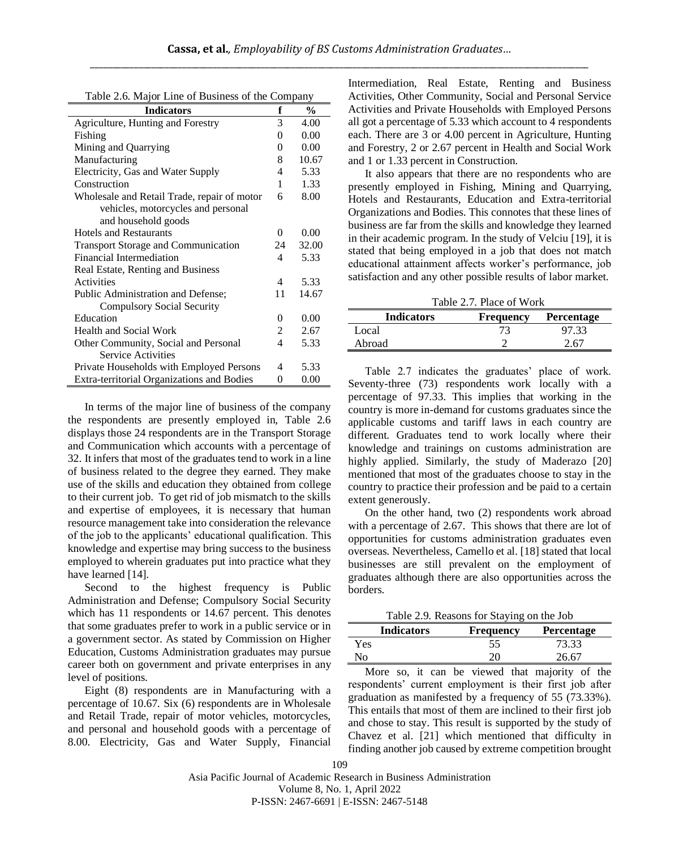| Table 2.6. Major Line of Business of the Company |  |  |
|--------------------------------------------------|--|--|
|--------------------------------------------------|--|--|

| <b>Indicators</b>                           | f        | $\frac{1}{2}$ |
|---------------------------------------------|----------|---------------|
| Agriculture, Hunting and Forestry           | 3        | 4.00          |
| Fishing                                     | $\Omega$ | 0.00          |
| Mining and Quarrying                        | $\theta$ | 0.00          |
| Manufacturing                               | 8        | 10.67         |
| Electricity, Gas and Water Supply           | 4        | 5.33          |
| Construction                                | 1        | 1.33          |
| Wholesale and Retail Trade, repair of motor | 6        | 8.00          |
| vehicles, motorcycles and personal          |          |               |
| and household goods                         |          |               |
| <b>Hotels and Restaurants</b>               | $\Omega$ | 0.00          |
| <b>Transport Storage and Communication</b>  | 24       | 32.00         |
| Financial Intermediation                    | 4        | 5.33          |
| Real Estate, Renting and Business           |          |               |
| Activities                                  | 4        | 5.33          |
| Public Administration and Defense;          | 11       | 14.67         |
| <b>Compulsory Social Security</b>           |          |               |
| Education                                   | $\Omega$ | 0.00          |
| Health and Social Work                      | 2        | 2.67          |
| Other Community, Social and Personal        | 4        | 5.33          |
| <b>Service Activities</b>                   |          |               |
| Private Households with Employed Persons    | 4        | 5.33          |
| Extra-territorial Organizations and Bodies  | 0        | 0.00          |

In terms of the major line of business of the company the respondents are presently employed in, Table 2.6 displays those 24 respondents are in the Transport Storage and Communication which accounts with a percentage of 32. It infers that most of the graduates tend to work in a line of business related to the degree they earned. They make use of the skills and education they obtained from college to their current job. To get rid of job mismatch to the skills and expertise of employees, it is necessary that human resource management take into consideration the relevance of the job to the applicants' educational qualification. This knowledge and expertise may bring success to the business employed to wherein graduates put into practice what they have learned [14].

Second to the highest frequency is Public Administration and Defense; Compulsory Social Security which has 11 respondents or 14.67 percent. This denotes that some graduates prefer to work in a public service or in a government sector. As stated by Commission on Higher Education, Customs Administration graduates may pursue career both on government and private enterprises in any level of positions.

Eight (8) respondents are in Manufacturing with a percentage of 10.67. Six (6) respondents are in Wholesale and Retail Trade, repair of motor vehicles, motorcycles, and personal and household goods with a percentage of 8.00. Electricity, Gas and Water Supply, Financial

Intermediation, Real Estate, Renting and Business Activities, Other Community, Social and Personal Service Activities and Private Households with Employed Persons all got a percentage of 5.33 which account to 4 respondents each. There are 3 or 4.00 percent in Agriculture, Hunting and Forestry, 2 or 2.67 percent in Health and Social Work and 1 or 1.33 percent in Construction.

It also appears that there are no respondents who are presently employed in Fishing, Mining and Quarrying, Hotels and Restaurants, Education and Extra-territorial Organizations and Bodies. This connotes that these lines of business are far from the skills and knowledge they learned in their academic program. In the study of Velciu [19], it is stated that being employed in a job that does not match educational attainment affects worker's performance, job satisfaction and any other possible results of labor market.

Table 2.7. Place of Work

| <b>Indicators</b> | <b>Frequency</b> | <b>Percentage</b> |
|-------------------|------------------|-------------------|
| Local             | 73               | 97.33             |
| Abroad            |                  | 2.67              |

Table 2.7 indicates the graduates' place of work. Seventy-three (73) respondents work locally with a percentage of 97.33. This implies that working in the country is more in-demand for customs graduates since the applicable customs and tariff laws in each country are different. Graduates tend to work locally where their knowledge and trainings on customs administration are highly applied. Similarly, the study of Maderazo [20] mentioned that most of the graduates choose to stay in the country to practice their profession and be paid to a certain extent generously.

On the other hand, two (2) respondents work abroad with a percentage of 2.67. This shows that there are lot of opportunities for customs administration graduates even overseas. Nevertheless, Camello et al. [18] stated that local businesses are still prevalent on the employment of graduates although there are also opportunities across the borders.

Table 2.9. Reasons for Staying on the Job

| <b>Indicators</b> | <b>Frequency</b> | <b>Percentage</b> |
|-------------------|------------------|-------------------|
| Yes               | 55               | 73.33             |
| No.               | 20               | 26.67             |
|                   |                  |                   |

More so, it can be viewed that majority of the respondents' current employment is their first job after graduation as manifested by a frequency of 55 (73.33%). This entails that most of them are inclined to their first job and chose to stay. This result is supported by the study of Chavez et al. [21] which mentioned that difficulty in finding another job caused by extreme competition brought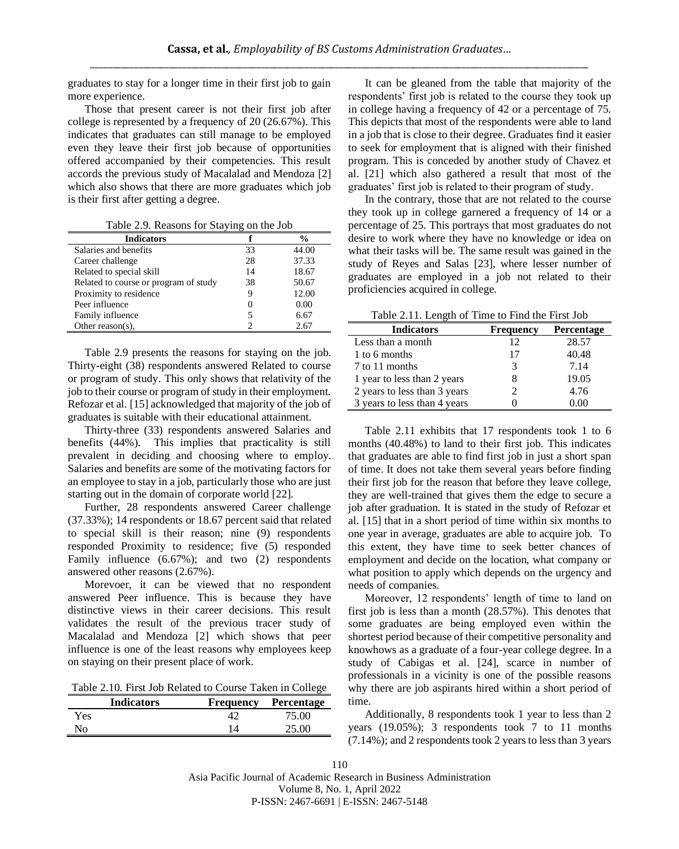graduates to stay for a longer time in their first job to gain more experience.

Those that present career is not their first job after college is represented by a frequency of 20 (26.67%). This indicates that graduates can still manage to be employed even they leave their first job because of opportunities offered accompanied by their competencies. This result accords the previous study of Macalalad and Mendoza [2] which also shows that there are more graduates which job is their first after getting a degree.

Table 2.9. Reasons for Staying on the Job

| <b>Indicators</b>                     |    | $\frac{6}{9}$ |
|---------------------------------------|----|---------------|
| Salaries and benefits                 | 33 | 44.00         |
| Career challenge                      | 28 | 37.33         |
| Related to special skill              | 14 | 18.67         |
| Related to course or program of study | 38 | 50.67         |
| Proximity to residence                | 9  | 12.00         |
| Peer influence                        | 0  | 0.00          |
| Family influence                      |    | 6.67          |
| Other reason( $s$ ),                  | າ  | 2.67          |

Table 2.9 presents the reasons for staying on the job. Thirty-eight (38) respondents answered Related to course or program of study. This only shows that relativity of the job to their course or program of study in their employment. Refozar et al. [15] acknowledged that majority of the job of graduates is suitable with their educational attainment.

Thirty-three (33) respondents answered Salaries and benefits (44%). This implies that practicality is still prevalent in deciding and choosing where to employ. Salaries and benefits are some of the motivating factors for an employee to stay in a job, particularly those who are just starting out in the domain of corporate world [22].

Further, 28 respondents answered Career challenge (37.33%); 14 respondents or 18.67 percent said that related to special skill is their reason; nine (9) respondents responded Proximity to residence; five (5) responded Family influence (6.67%); and two (2) respondents answered other reasons (2.67%).

Morevoer, it can be viewed that no respondent answered Peer influence. This is because they have distinctive views in their career decisions. This result validates the result of the previous tracer study of Macalalad and Mendoza [2] which shows that peer influence is one of the least reasons why employees keep on staying on their present place of work.

Table 2.10. First Job Related to Course Taken in College

|     | <b>Indicators</b> |    | <b>Frequency Percentage</b> |
|-----|-------------------|----|-----------------------------|
| Yes |                   |    | 75.00                       |
| No  |                   | 14 | 25.00                       |

It can be gleaned from the table that majority of the respondents' first job is related to the course they took up in college having a frequency of 42 or a percentage of 75. This depicts that most of the respondents were able to land in a job that is close to their degree. Graduates find it easier to seek for employment that is aligned with their finished program. This is conceded by another study of Chavez et al. [21] which also gathered a result that most of the graduates' first job is related to their program of study.

In the contrary, those that are not related to the course they took up in college garnered a frequency of 14 or a percentage of 25. This portrays that most graduates do not desire to work where they have no knowledge or idea on what their tasks will be. The same result was gained in the study of Reyes and Salas [23], where lesser number of graduates are employed in a job not related to their proficiencies acquired in college.

Table 2.11. Length of Time to Find the First Job

| Twore $\mathcal{L}$ , The Equigin of Thing to Thing the This 300 |                  |            |  |  |
|------------------------------------------------------------------|------------------|------------|--|--|
| <b>Indicators</b>                                                | <b>Frequency</b> | Percentage |  |  |
| Less than a month                                                | 12               | 28.57      |  |  |
| 1 to 6 months                                                    | 17               | 40.48      |  |  |
| 7 to 11 months                                                   |                  | 7.14       |  |  |
| 1 year to less than 2 years                                      |                  | 19.05      |  |  |
| 2 years to less than 3 years                                     |                  | 4.76       |  |  |
| 3 years to less than 4 years                                     |                  | 0.00       |  |  |

Table 2.11 exhibits that 17 respondents took 1 to 6 months (40.48%) to land to their first job. This indicates that graduates are able to find first job in just a short span of time. It does not take them several years before finding their first job for the reason that before they leave college, they are well-trained that gives them the edge to secure a job after graduation. It is stated in the study of Refozar et al. [15] that in a short period of time within six months to one year in average, graduates are able to acquire job. To this extent, they have time to seek better chances of employment and decide on the location, what company or what position to apply which depends on the urgency and needs of companies.

Moreover, 12 respondents' length of time to land on first job is less than a month (28.57%). This denotes that some graduates are being employed even within the shortest period because of their competitive personality and knowhows as a graduate of a four-year college degree. In a study of Cabigas et al. [24], scarce in number of professionals in a vicinity is one of the possible reasons why there are job aspirants hired within a short period of time.

Additionally, 8 respondents took 1 year to less than 2 years (19.05%); 3 respondents took 7 to 11 months (7.14%); and 2 respondents took 2 years to less than 3 years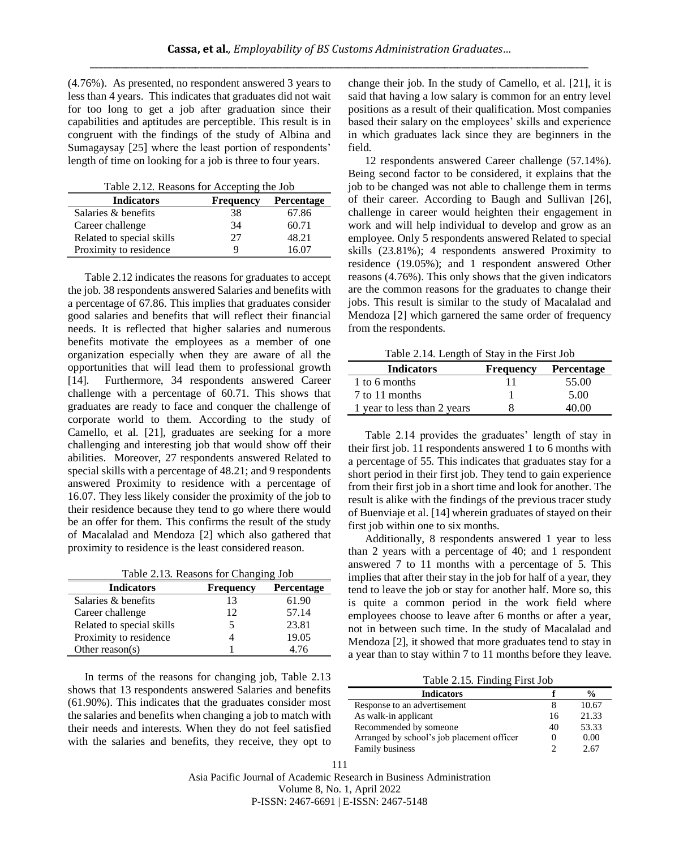(4.76%). As presented, no respondent answered 3 years to less than 4 years. This indicates that graduates did not wait for too long to get a job after graduation since their capabilities and aptitudes are perceptible. This result is in congruent with the findings of the study of Albina and Sumagaysay [25] where the least portion of respondents' length of time on looking for a job is three to four years.

Table 2.12. Reasons for Accepting the Job

| <b>Indicators</b>         | <b>Frequency</b> | Percentage |
|---------------------------|------------------|------------|
| Salaries & benefits       | 38               | 67.86      |
| Career challenge          | 34               | 60.71      |
| Related to special skills | 27               | 48.21      |
| Proximity to residence    | Q                | 16 07      |

Table 2.12 indicates the reasons for graduates to accept the job. 38 respondents answered Salaries and benefits with a percentage of 67.86. This implies that graduates consider good salaries and benefits that will reflect their financial needs. It is reflected that higher salaries and numerous benefits motivate the employees as a member of one organization especially when they are aware of all the opportunities that will lead them to professional growth [14]. Furthermore, 34 respondents answered Career challenge with a percentage of 60.71. This shows that graduates are ready to face and conquer the challenge of corporate world to them. According to the study of Camello, et al. [21], graduates are seeking for a more challenging and interesting job that would show off their abilities. Moreover, 27 respondents answered Related to special skills with a percentage of 48.21; and 9 respondents answered Proximity to residence with a percentage of 16.07. They less likely consider the proximity of the job to their residence because they tend to go where there would be an offer for them. This confirms the result of the study of Macalalad and Mendoza [2] which also gathered that proximity to residence is the least considered reason.

|  |  | Table 2.13. Reasons for Changing Job |
|--|--|--------------------------------------|
|--|--|--------------------------------------|

| <b>Indicators</b>         | <b>Frequency</b> | Percentage |
|---------------------------|------------------|------------|
| Salaries & benefits       | 13               | 61.90      |
| Career challenge          | 12               | 57.14      |
| Related to special skills |                  | 23.81      |
| Proximity to residence    |                  | 19.05      |
| Other reason( $s$ )       |                  | 4.76       |

In terms of the reasons for changing job, Table 2.13 shows that 13 respondents answered Salaries and benefits (61.90%). This indicates that the graduates consider most the salaries and benefits when changing a job to match with their needs and interests. When they do not feel satisfied with the salaries and benefits, they receive, they opt to

change their job. In the study of Camello, et al. [21], it is said that having a low salary is common for an entry level positions as a result of their qualification. Most companies based their salary on the employees' skills and experience in which graduates lack since they are beginners in the field.

12 respondents answered Career challenge (57.14%). Being second factor to be considered, it explains that the job to be changed was not able to challenge them in terms of their career. According to Baugh and Sullivan [26], challenge in career would heighten their engagement in work and will help individual to develop and grow as an employee. Only 5 respondents answered Related to special skills (23.81%); 4 respondents answered Proximity to residence (19.05%); and 1 respondent answered Other reasons (4.76%). This only shows that the given indicators are the common reasons for the graduates to change their jobs. This result is similar to the study of Macalalad and Mendoza [2] which garnered the same order of frequency from the respondents.

Table 2.14. Length of Stay in the First Job

| <b>Indicators</b>           | <b>Frequency</b> | Percentage |
|-----------------------------|------------------|------------|
| 1 to 6 months               |                  | 55.00      |
| 7 to 11 months              |                  | 5.00       |
| 1 year to less than 2 years |                  | 40 OO      |

Table 2.14 provides the graduates' length of stay in their first job. 11 respondents answered 1 to 6 months with a percentage of 55. This indicates that graduates stay for a short period in their first job. They tend to gain experience from their first job in a short time and look for another. The result is alike with the findings of the previous tracer study of Buenviaje et al. [14] wherein graduates of stayed on their first job within one to six months.

Additionally, 8 respondents answered 1 year to less than 2 years with a percentage of 40; and 1 respondent answered 7 to 11 months with a percentage of 5. This implies that after their stay in the job for half of a year, they tend to leave the job or stay for another half. More so, this is quite a common period in the work field where employees choose to leave after 6 months or after a year, not in between such time. In the study of Macalalad and Mendoza [2], it showed that more graduates tend to stay in a year than to stay within 7 to 11 months before they leave.

Table 2.15. Finding First Job

| <b>Indicators</b>                          |    | $\frac{0}{0}$ |
|--------------------------------------------|----|---------------|
| Response to an advertisement               |    | 10.67         |
| As walk-in applicant                       | 16 | 21.33         |
| Recommended by someone                     | 40 | 53.33         |
| Arranged by school's job placement officer |    | 0.00          |
| Family business                            |    | 2.67          |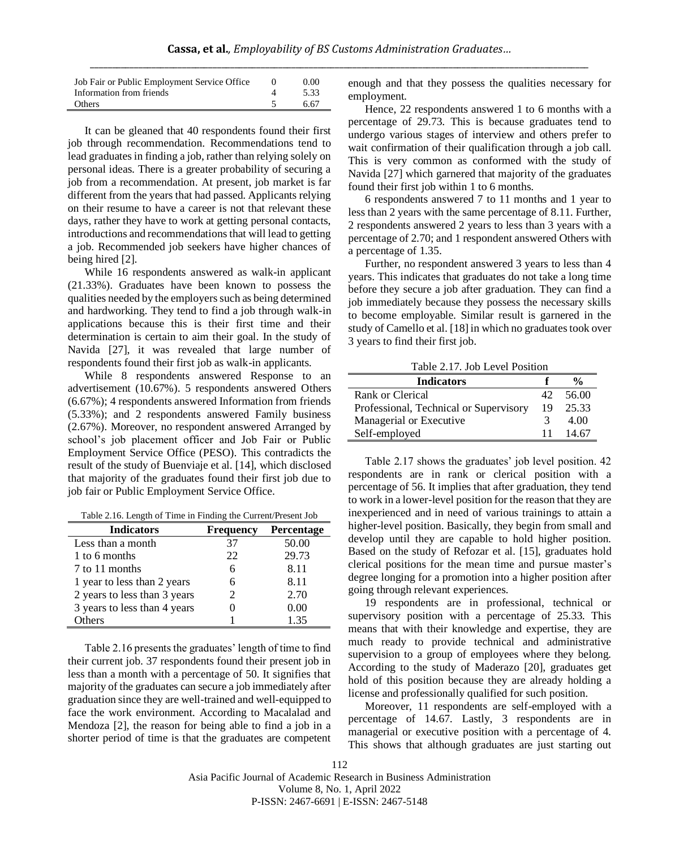| Job Fair or Public Employment Service Office | 0.00 |
|----------------------------------------------|------|
| Information from friends                     | 5.33 |
| Others                                       | 6.67 |

It can be gleaned that 40 respondents found their first job through recommendation. Recommendations tend to lead graduates in finding a job, rather than relying solely on personal ideas. There is a greater probability of securing a job from a recommendation. At present, job market is far different from the years that had passed. Applicants relying on their resume to have a career is not that relevant these days, rather they have to work at getting personal contacts, introductions and recommendations that will lead to getting a job. Recommended job seekers have higher chances of being hired [2].

While 16 respondents answered as walk-in applicant (21.33%). Graduates have been known to possess the qualities needed by the employers such as being determined and hardworking. They tend to find a job through walk-in applications because this is their first time and their determination is certain to aim their goal. In the study of Navida [27], it was revealed that large number of respondents found their first job as walk-in applicants.

While 8 respondents answered Response to an advertisement (10.67%). 5 respondents answered Others (6.67%); 4 respondents answered Information from friends (5.33%); and 2 respondents answered Family business (2.67%). Moreover, no respondent answered Arranged by school's job placement officer and Job Fair or Public Employment Service Office (PESO). This contradicts the result of the study of Buenviaje et al. [14], which disclosed that majority of the graduates found their first job due to job fair or Public Employment Service Office.

| Table 2.16. Length of Time in Finding the Current/Present Job |  |
|---------------------------------------------------------------|--|
|---------------------------------------------------------------|--|

| <b>Indicators</b>            | <b>Frequency</b> | Percentage |
|------------------------------|------------------|------------|
| Less than a month            | 37               | 50.00      |
| 1 to 6 months                | 22               | 29.73      |
| 7 to 11 months               |                  | 8.11       |
| 1 year to less than 2 years  |                  | 8.11       |
| 2 years to less than 3 years |                  | 2.70       |
| 3 years to less than 4 years |                  | 0.00       |
| thers                        |                  | 135        |

Table 2.16 presents the graduates' length of time to find their current job. 37 respondents found their present job in less than a month with a percentage of 50. It signifies that majority of the graduates can secure a job immediately after graduation since they are well-trained and well-equipped to face the work environment. According to Macalalad and Mendoza [2], the reason for being able to find a job in a shorter period of time is that the graduates are competent

enough and that they possess the qualities necessary for employment.

Hence, 22 respondents answered 1 to 6 months with a percentage of 29.73. This is because graduates tend to undergo various stages of interview and others prefer to wait confirmation of their qualification through a job call. This is very common as conformed with the study of Navida [27] which garnered that majority of the graduates found their first job within 1 to 6 months.

6 respondents answered 7 to 11 months and 1 year to less than 2 years with the same percentage of 8.11. Further, 2 respondents answered 2 years to less than 3 years with a percentage of 2.70; and 1 respondent answered Others with a percentage of 1.35.

Further, no respondent answered 3 years to less than 4 years. This indicates that graduates do not take a long time before they secure a job after graduation. They can find a job immediately because they possess the necessary skills to become employable. Similar result is garnered in the study of Camello et al. [18] in which no graduates took over 3 years to find their first job.

Table 2.17. Job Level Position

| <b>Indicators</b>                      |     | $\frac{6}{6}$ |
|----------------------------------------|-----|---------------|
| Rank or Clerical                       | 42. | 56.00         |
| Professional, Technical or Supervisory | 19  | 25.33         |
| Managerial or Executive                |     | 4.00          |
| Self-employed                          | 11  | 14.67         |

Table 2.17 shows the graduates' job level position. 42 respondents are in rank or clerical position with a percentage of 56. It implies that after graduation, they tend to work in a lower-level position for the reason that they are inexperienced and in need of various trainings to attain a higher-level position. Basically, they begin from small and develop until they are capable to hold higher position. Based on the study of Refozar et al. [15], graduates hold clerical positions for the mean time and pursue master's degree longing for a promotion into a higher position after going through relevant experiences.

19 respondents are in professional, technical or supervisory position with a percentage of 25.33. This means that with their knowledge and expertise, they are much ready to provide technical and administrative supervision to a group of employees where they belong. According to the study of Maderazo [20], graduates get hold of this position because they are already holding a license and professionally qualified for such position.

Moreover, 11 respondents are self-employed with a percentage of 14.67. Lastly, 3 respondents are in managerial or executive position with a percentage of 4. This shows that although graduates are just starting out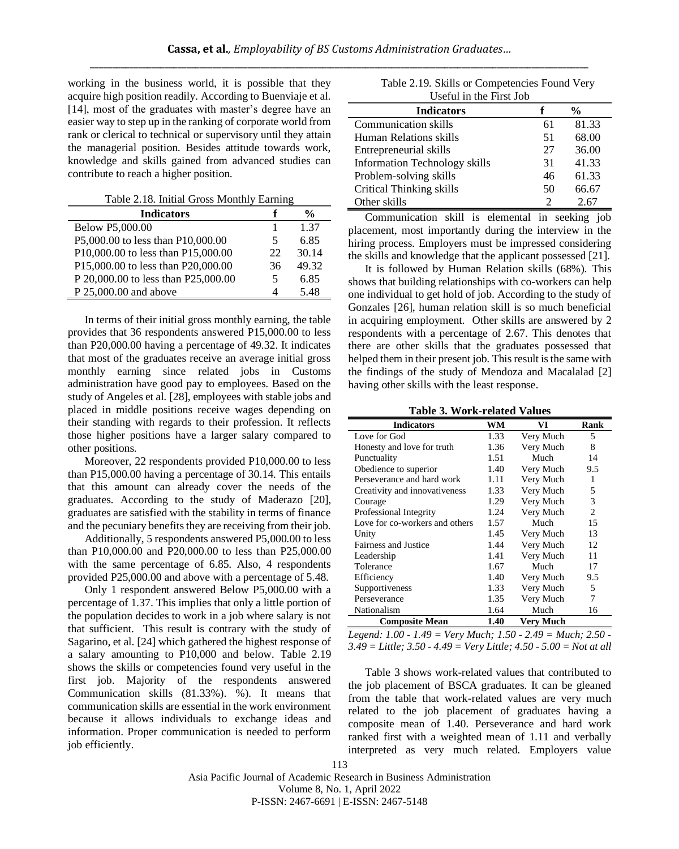working in the business world, it is possible that they acquire high position readily. According to Buenviaje et al. [14], most of the graduates with master's degree have an easier way to step up in the ranking of corporate world from rank or clerical to technical or supervisory until they attain the managerial position. Besides attitude towards work, knowledge and skills gained from advanced studies can contribute to reach a higher position.

Table 2.18. Initial Gross Monthly Earning

| <b>Indicators</b>                   |    | $\frac{6}{9}$ |
|-------------------------------------|----|---------------|
| Below P5,000.00                     |    | 1.37          |
| P5,000.00 to less than P10,000.00   | 5  | 6.85          |
| P10,000.00 to less than P15,000.00  | 22 | 30.14         |
| P15,000.00 to less than P20,000.00  | 36 | 49.32         |
| P 20,000.00 to less than P25,000.00 | 5  | 6.85          |
| P 25,000.00 and above               |    | 5.48          |

In terms of their initial gross monthly earning, the table provides that 36 respondents answered P15,000.00 to less than P20,000.00 having a percentage of 49.32. It indicates that most of the graduates receive an average initial gross monthly earning since related jobs in Customs administration have good pay to employees. Based on the study of Angeles et al. [28], employees with stable jobs and placed in middle positions receive wages depending on their standing with regards to their profession. It reflects those higher positions have a larger salary compared to other positions.

Moreover, 22 respondents provided P10,000.00 to less than P15,000.00 having a percentage of 30.14. This entails that this amount can already cover the needs of the graduates. According to the study of Maderazo [20], graduates are satisfied with the stability in terms of finance and the pecuniary benefits they are receiving from their job.

Additionally, 5 respondents answered P5,000.00 to less than P10,000.00 and P20,000.00 to less than P25,000.00 with the same percentage of 6.85. Also, 4 respondents provided P25,000.00 and above with a percentage of 5.48.

Only 1 respondent answered Below P5,000.00 with a percentage of 1.37. This implies that only a little portion of the population decides to work in a job where salary is not that sufficient. This result is contrary with the study of Sagarino, et al. [24] which gathered the highest response of a salary amounting to P10,000 and below. Table 2.19 shows the skills or competencies found very useful in the first job. Majority of the respondents answered Communication skills (81.33%). %). It means that communication skills are essential in the work environment because it allows individuals to exchange ideas and information. Proper communication is needed to perform job efficiently.

| Table 2.19. Skills or Competencies Found Very |
|-----------------------------------------------|
| Useful in the First Job                       |

| <b>Indicators</b>               |    | $\frac{0}{0}$ |  |  |  |  |  |  |
|---------------------------------|----|---------------|--|--|--|--|--|--|
| Communication skills            | 61 | 81.33         |  |  |  |  |  |  |
| Human Relations skills          | 51 | 68.00         |  |  |  |  |  |  |
| Entrepreneurial skills          | 27 | 36.00         |  |  |  |  |  |  |
| Information Technology skills   | 31 | 41.33         |  |  |  |  |  |  |
| Problem-solving skills          | 46 | 61.33         |  |  |  |  |  |  |
| <b>Critical Thinking skills</b> | 50 | 66.67         |  |  |  |  |  |  |
| Other skills                    | 2  | 2.67          |  |  |  |  |  |  |

Communication skill is elemental in seeking job placement, most importantly during the interview in the hiring process. Employers must be impressed considering the skills and knowledge that the applicant possessed [21].

It is followed by Human Relation skills (68%). This shows that building relationships with co-workers can help one individual to get hold of job. According to the study of Gonzales [26], human relation skill is so much beneficial in acquiring employment. Other skills are answered by 2 respondents with a percentage of 2.67. This denotes that there are other skills that the graduates possessed that helped them in their present job. This result is the same with the findings of the study of Mendoza and Macalalad [2] having other skills with the least response.

**Table 3. Work-related Values**

| <b>Indicators</b>              | WM   | VI        | Rank |
|--------------------------------|------|-----------|------|
| Love for God                   | 1.33 | Very Much | 5    |
| Honesty and love for truth     | 1.36 | Very Much | 8    |
| Punctuality                    | 1.51 | Much      | 14   |
| Obedience to superior          | 1.40 | Very Much | 9.5  |
| Perseverance and hard work     | 1.11 | Very Much | 1    |
| Creativity and innovativeness  | 1.33 | Very Much | 5    |
| Courage                        | 1.29 | Very Much | 3    |
| Professional Integrity         | 1.24 | Very Much | 2    |
| Love for co-workers and others | 1.57 | Much      | 15   |
| Unity                          | 1.45 | Very Much | 13   |
| <b>Fairness and Justice</b>    | 1.44 | Very Much | 12   |
| Leadership                     | 1.41 | Very Much | 11   |
| Tolerance                      | 1.67 | Much      | 17   |
| Efficiency                     | 1.40 | Very Much | 9.5  |
| Supportiveness                 | 1.33 | Very Much | 5    |
| Perseverance                   | 1.35 | Very Much | 7    |
| Nationalism                    | 1.64 | Much      | 16   |
| <b>Composite Mean</b>          | 1.40 | Very Much |      |

*Legend: 1.00 - 1.49 = Very Much; 1.50 - 2.49 = Much; 2.50 - 3.49 = Little; 3.50 - 4.49 = Very Little; 4.50 - 5.00 = Not at all*

Table 3 shows work-related values that contributed to the job placement of BSCA graduates. It can be gleaned from the table that work-related values are very much related to the job placement of graduates having a composite mean of 1.40. Perseverance and hard work ranked first with a weighted mean of 1.11 and verbally interpreted as very much related. Employers value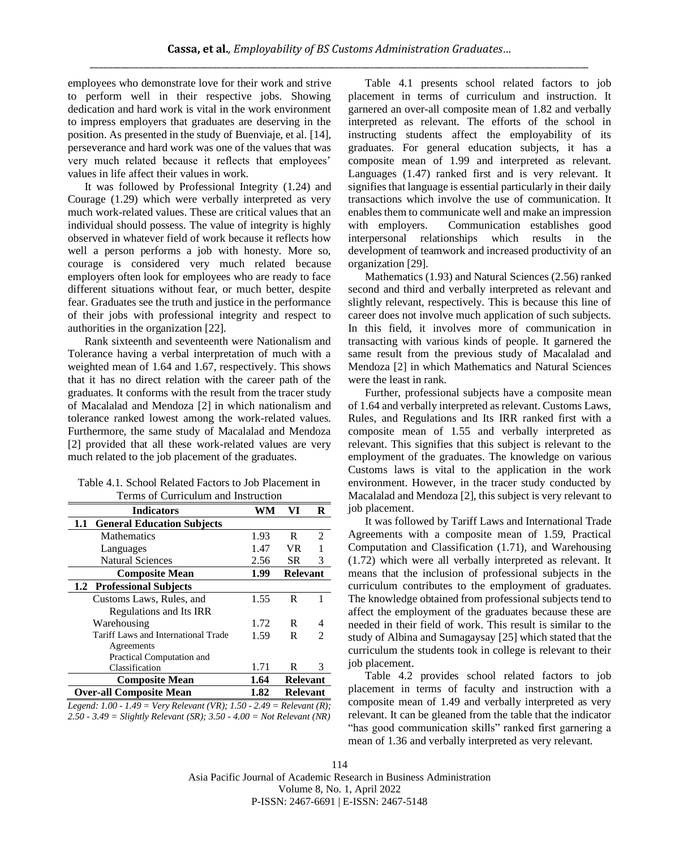employees who demonstrate love for their work and strive to perform well in their respective jobs. Showing dedication and hard work is vital in the work environment to impress employers that graduates are deserving in the position. As presented in the study of Buenviaje, et al. [14], perseverance and hard work was one of the values that was very much related because it reflects that employees' values in life affect their values in work.

It was followed by Professional Integrity (1.24) and Courage (1.29) which were verbally interpreted as very much work-related values. These are critical values that an individual should possess. The value of integrity is highly observed in whatever field of work because it reflects how well a person performs a job with honesty. More so, courage is considered very much related because employers often look for employees who are ready to face different situations without fear, or much better, despite fear. Graduates see the truth and justice in the performance of their jobs with professional integrity and respect to authorities in the organization [22].

Rank sixteenth and seventeenth were Nationalism and Tolerance having a verbal interpretation of much with a weighted mean of 1.64 and 1.67, respectively. This shows that it has no direct relation with the career path of the graduates. It conforms with the result from the tracer study of Macalalad and Mendoza [2] in which nationalism and tolerance ranked lowest among the work-related values. Furthermore, the same study of Macalalad and Mendoza [2] provided that all these work-related values are very much related to the job placement of the graduates.

| Table 4.1. School Related Factors to Job Placement in |
|-------------------------------------------------------|
| Terms of Curriculum and Instruction                   |

| <b>Indicators</b>                                                     | WM   | VI              | R                           |
|-----------------------------------------------------------------------|------|-----------------|-----------------------------|
| <b>General Education Subjects</b><br>1.1                              |      |                 |                             |
| <b>Mathematics</b>                                                    | 1.93 | R               | 2                           |
| Languages                                                             | 1.47 | VR              |                             |
| <b>Natural Sciences</b>                                               | 2.56 | <b>SR</b>       | 3                           |
| <b>Composite Mean</b>                                                 | 1.99 | <b>Relevant</b> |                             |
| 1.2 Professional Subjects                                             |      |                 |                             |
| Customs Laws, Rules, and                                              | 1.55 | R               |                             |
| Regulations and Its IRR                                               |      |                 |                             |
| Warehousing                                                           | 1.72 | R               | 4                           |
| Tariff Laws and International Trade                                   | 1.59 | R               | $\mathcal{D}_{\mathcal{A}}$ |
| Agreements                                                            |      |                 |                             |
| Practical Computation and                                             |      |                 |                             |
| Classification                                                        | 1.71 | R               | 3                           |
| <b>Composite Mean</b>                                                 | 1.64 | <b>Relevant</b> |                             |
| <b>Over-all Composite Mean</b>                                        | 1.82 | <b>Relevant</b> |                             |
| Legend: 1.00 - 1.49 = Very Relevant (VR): 1.50 - 2.49 = Relevant (R): |      |                 |                             |

*Legend: 1.00 - 1.49 = Very Relevant (VR); 1.50 - 2.49 = Relevant (R); 2.50 - 3.49 = Slightly Relevant (SR); 3.50 - 4.00 = Not Relevant (NR)*

Table 4.1 presents school related factors to job placement in terms of curriculum and instruction. It garnered an over-all composite mean of 1.82 and verbally interpreted as relevant. The efforts of the school in instructing students affect the employability of its graduates. For general education subjects, it has a composite mean of 1.99 and interpreted as relevant. Languages (1.47) ranked first and is very relevant. It signifies that language is essential particularly in their daily transactions which involve the use of communication. It enables them to communicate well and make an impression with employers. Communication establishes good interpersonal relationships which results in the development of teamwork and increased productivity of an organization [29].

Mathematics (1.93) and Natural Sciences (2.56) ranked second and third and verbally interpreted as relevant and slightly relevant, respectively. This is because this line of career does not involve much application of such subjects. In this field, it involves more of communication in transacting with various kinds of people. It garnered the same result from the previous study of Macalalad and Mendoza [2] in which Mathematics and Natural Sciences were the least in rank.

Further, professional subjects have a composite mean of 1.64 and verbally interpreted as relevant. Customs Laws, Rules, and Regulations and Its IRR ranked first with a composite mean of 1.55 and verbally interpreted as relevant. This signifies that this subject is relevant to the employment of the graduates. The knowledge on various Customs laws is vital to the application in the work environment. However, in the tracer study conducted by Macalalad and Mendoza [2], this subject is very relevant to job placement.

It was followed by Tariff Laws and International Trade Agreements with a composite mean of 1.59, Practical Computation and Classification (1.71), and Warehousing (1.72) which were all verbally interpreted as relevant. It means that the inclusion of professional subjects in the curriculum contributes to the employment of graduates. The knowledge obtained from professional subjects tend to affect the employment of the graduates because these are needed in their field of work. This result is similar to the study of Albina and Sumagaysay [25] which stated that the curriculum the students took in college is relevant to their job placement.

Table 4.2 provides school related factors to job placement in terms of faculty and instruction with a composite mean of 1.49 and verbally interpreted as very relevant. It can be gleaned from the table that the indicator "has good communication skills" ranked first garnering a mean of 1.36 and verbally interpreted as very relevant.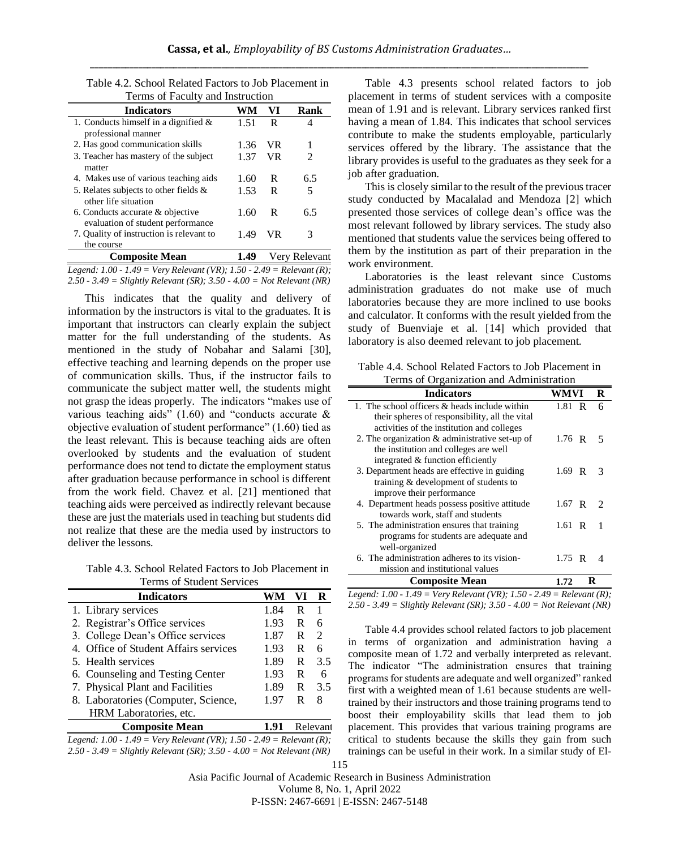| Ferms of Faculty and misulaction                                      |      |     |               |  |  |  |  |  |  |
|-----------------------------------------------------------------------|------|-----|---------------|--|--|--|--|--|--|
| <b>Indicators</b>                                                     | WM   | VI  | Rank          |  |  |  |  |  |  |
| 1. Conducts himself in a dignified $\&$<br>professional manner        | 1.51 | R   | 4             |  |  |  |  |  |  |
| 2. Has good communication skills                                      | 1.36 | VR  |               |  |  |  |  |  |  |
| 3. Teacher has mastery of the subject<br>matter                       | 1.37 | VR. | 2             |  |  |  |  |  |  |
| 4. Makes use of various teaching aids                                 | 1.60 | R   | 6.5           |  |  |  |  |  |  |
| 5. Relates subjects to other fields &<br>other life situation         | 1.53 | R   | 5             |  |  |  |  |  |  |
| 6. Conducts accurate & objective<br>evaluation of student performance | 1.60 | R   | 6.5           |  |  |  |  |  |  |
| 7. Quality of instruction is relevant to<br>the course                | 1.49 | VR  | 3             |  |  |  |  |  |  |
| <b>Composite Mean</b>                                                 | 1.49 |     | Very Relevant |  |  |  |  |  |  |
| Logard: 1.00, 1.40 – Vary Rolavant (VR): 1.50, 2.40 – Rolavant (R):   |      |     |               |  |  |  |  |  |  |

Table 4.2. School Related Factors to Job Placement in Terms of Faculty and Instruction

*Legend: 1.00 - 1.49 = Very Relevant (VR); 1.50 - 2.49 = Relevant (R); 2.50 - 3.49 = Slightly Relevant (SR); 3.50 - 4.00 = Not Relevant (NR)*

This indicates that the quality and delivery of information by the instructors is vital to the graduates. It is important that instructors can clearly explain the subject matter for the full understanding of the students. As mentioned in the study of Nobahar and Salami [30], effective teaching and learning depends on the proper use of communication skills. Thus, if the instructor fails to communicate the subject matter well, the students might not grasp the ideas properly. The indicators "makes use of various teaching aids"  $(1.60)$  and "conducts accurate & objective evaluation of student performance" (1.60) tied as the least relevant. This is because teaching aids are often overlooked by students and the evaluation of student performance does not tend to dictate the employment status after graduation because performance in school is different from the work field. Chavez et al. [21] mentioned that teaching aids were perceived as indirectly relevant because these are just the materials used in teaching but students did not realize that these are the media used by instructors to deliver the lessons.

Table 4.3. School Related Factors to Job Placement in Terms of Student Services

| <b>Indicators</b>                     |      | VI     |                             |
|---------------------------------------|------|--------|-----------------------------|
| 1. Library services                   | 1.84 | R      |                             |
| 2. Registrar's Office services        | 1.93 | R      | 6                           |
| 3. College Dean's Office services     | 1.87 | R      | $\mathcal{D}_{\mathcal{L}}$ |
| 4. Office of Student Affairs services | 1.93 | R      | 6                           |
| 5. Health services                    | 1.89 | R      | 3.5                         |
| 6. Counseling and Testing Center      | 1.93 | R      | 6                           |
| 7. Physical Plant and Facilities      | 1.89 | R      | 3.5                         |
| 8. Laboratories (Computer, Science,   | 1.97 | R<br>8 |                             |
| HRM Laboratories, etc.                |      |        |                             |
| <b>Composite Mean</b>                 | 1 91 | Relev: |                             |



Table 4.3 presents school related factors to job placement in terms of student services with a composite mean of 1.91 and is relevant. Library services ranked first having a mean of 1.84. This indicates that school services contribute to make the students employable, particularly services offered by the library. The assistance that the library provides is useful to the graduates as they seek for a job after graduation.

This is closely similar to the result of the previous tracer study conducted by Macalalad and Mendoza [2] which presented those services of college dean's office was the most relevant followed by library services. The study also mentioned that students value the services being offered to them by the institution as part of their preparation in the work environment.

Laboratories is the least relevant since Customs administration graduates do not make use of much laboratories because they are more inclined to use books and calculator. It conforms with the result yielded from the study of Buenviaje et al. [14] which provided that laboratory is also deemed relevant to job placement.

Table 4.4. School Related Factors to Job Placement in Terms of Organization and Administration

| <b>Indicators</b>                                 | WMVI     | R |
|---------------------------------------------------|----------|---|
| 1. The school officers $\&$ heads include within  | 1.81 R   | 6 |
| their spheres of responsibility, all the vital    |          |   |
| activities of the institution and colleges        |          |   |
| 2. The organization $\&$ administrative set-up of | 1.76 R   | 5 |
| the institution and colleges are well             |          |   |
| integrated & function efficiently                 |          |   |
| 3. Department heads are effective in guiding      | $1.69$ R | 3 |
| training & development of students to             |          |   |
| improve their performance                         |          |   |
| 4. Department heads possess positive attitude     | 1.67 R   | 2 |
| towards work, staff and students                  |          |   |
| 5. The administration ensures that training       | 1.61 R   |   |
| programs for students are adequate and            |          |   |
| well-organized                                    |          |   |
| 6. The administration adheres to its vision-      | $1.75$ R |   |
| mission and institutional values                  |          |   |
| <b>Composite Mean</b>                             | 172      |   |

*Legend: 1.00 - 1.49 = Very Relevant (VR); 1.50 - 2.49 = Relevant (R); 2.50 - 3.49 = Slightly Relevant (SR); 3.50 - 4.00 = Not Relevant (NR)*

Table 4.4 provides school related factors to job placement in terms of organization and administration having a composite mean of 1.72 and verbally interpreted as relevant. The indicator "The administration ensures that training programs for students are adequate and well organized" ranked first with a weighted mean of 1.61 because students are welltrained by their instructors and those training programs tend to boost their employability skills that lead them to job placement. This provides that various training programs are critical to students because the skills they gain from such trainings can be useful in their work. In a similar study of El-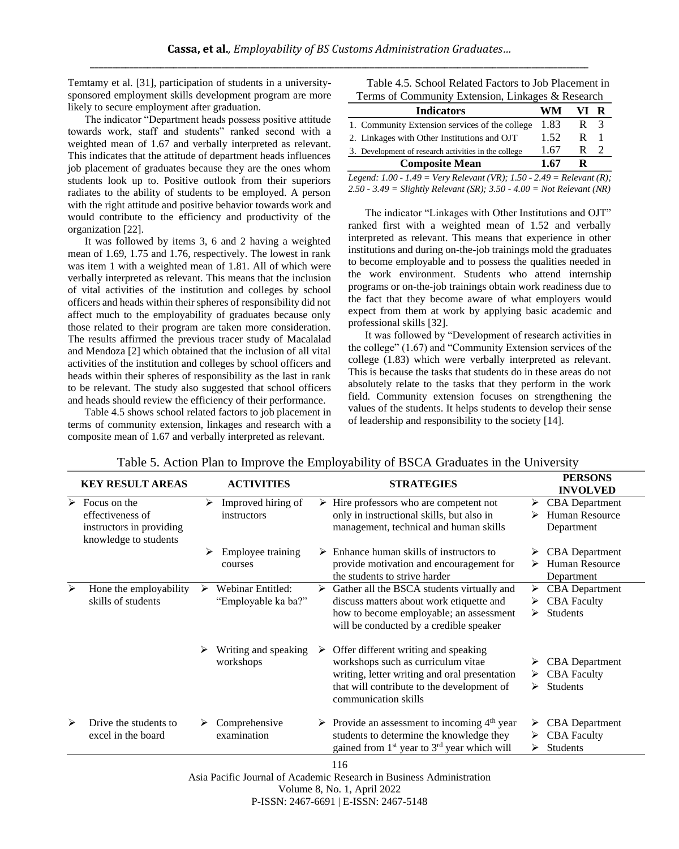Temtamy et al. [31], participation of students in a universitysponsored employment skills development program are more likely to secure employment after graduation.

The indicator "Department heads possess positive attitude towards work, staff and students" ranked second with a weighted mean of 1.67 and verbally interpreted as relevant. This indicates that the attitude of department heads influences job placement of graduates because they are the ones whom students look up to. Positive outlook from their superiors radiates to the ability of students to be employed. A person with the right attitude and positive behavior towards work and would contribute to the efficiency and productivity of the organization [22].

It was followed by items 3, 6 and 2 having a weighted mean of 1.69, 1.75 and 1.76, respectively. The lowest in rank was item 1 with a weighted mean of 1.81. All of which were verbally interpreted as relevant. This means that the inclusion of vital activities of the institution and colleges by school officers and heads within their spheres of responsibility did not affect much to the employability of graduates because only those related to their program are taken more consideration. The results affirmed the previous tracer study of Macalalad and Mendoza [2] which obtained that the inclusion of all vital activities of the institution and colleges by school officers and heads within their spheres of responsibility as the last in rank to be relevant. The study also suggested that school officers and heads should review the efficiency of their performance.

Table 4.5 shows school related factors to job placement in terms of community extension, linkages and research with a composite mean of 1.67 and verbally interpreted as relevant.

| Table 4.5. School Related Factors to Job Placement in |
|-------------------------------------------------------|
| Terms of Community Extension, Linkages & Research     |

| <b>Indicators</b>                                    | WM.  |   | R |
|------------------------------------------------------|------|---|---|
| 1. Community Extension services of the college       | 1.83 | R | 3 |
| 2. Linkages with Other Institutions and OJT          | 1.52 | R |   |
| 3. Development of research activities in the college | 1.67 | R |   |
| <b>Composite Mean</b>                                | 1 67 |   |   |

*Legend: 1.00 - 1.49 = Very Relevant (VR); 1.50 - 2.49 = Relevant (R); 2.50 - 3.49 = Slightly Relevant (SR); 3.50 - 4.00 = Not Relevant (NR)*

The indicator "Linkages with Other Institutions and OJT" ranked first with a weighted mean of 1.52 and verbally interpreted as relevant. This means that experience in other institutions and during on-the-job trainings mold the graduates to become employable and to possess the qualities needed in the work environment. Students who attend internship programs or on-the-job trainings obtain work readiness due to the fact that they become aware of what employers would expect from them at work by applying basic academic and professional skills [32].

It was followed by "Development of research activities in the college" (1.67) and "Community Extension services of the college (1.83) which were verbally interpreted as relevant. This is because the tasks that students do in these areas do not absolutely relate to the tasks that they perform in the work field. Community extension focuses on strengthening the values of the students. It helps students to develop their sense of leadership and responsibility to the society [14].

| <b>KEY RESULT AREAS</b>                      |                                                        | <b>ACTIVITIES</b>                        |   | <b>STRATEGIES</b>                                                                                                                                                                                 |                                                | <b>PERSONS</b><br><b>INVOLVED</b>                              |
|----------------------------------------------|--------------------------------------------------------|------------------------------------------|---|---------------------------------------------------------------------------------------------------------------------------------------------------------------------------------------------------|------------------------------------------------|----------------------------------------------------------------|
| effectiveness of<br>instructors in providing | ⋗                                                      | Improved hiring of<br>instructors        |   | Hire professors who are competent not<br>only in instructional skills, but also in<br>management, technical and human skills                                                                      | ➤<br>⋗                                         | <b>CBA</b> Department<br>Human Resource<br>Department          |
|                                              | ⋗                                                      | Employee training<br>courses             |   | Enhance human skills of instructors to<br>provide motivation and encouragement for<br>the students to strive harder                                                                               | ⋗<br>⋗                                         | <b>CBA</b> Department<br><b>Human Resource</b><br>Department   |
| Hone the employability<br>skills of students | ↘                                                      | Webinar Entitled:<br>"Employable ka ba?" | ⋗ | Gather all the BSCA students virtually and<br>discuss matters about work etiquette and<br>how to become employable; an assessment<br>will be conducted by a credible speaker                      | ⋗<br>⋗<br>➤                                    | <b>CBA</b> Department<br><b>CBA</b> Faculty<br><b>Students</b> |
|                                              |                                                        | Writing and speaking<br>workshops        |   | Offer different writing and speaking<br>workshops such as curriculum vitae<br>writing, letter writing and oral presentation<br>that will contribute to the development of<br>communication skills | ➤<br>➤<br>➤                                    | <b>CBA</b> Department<br><b>CBA</b> Faculty<br><b>Students</b> |
| Drive the students to<br>excel in the board  | ➤                                                      | Comprehensive<br>examination             |   | students to determine the knowledge they<br>gained from $1st$ year to $3rd$ year which will                                                                                                       | ⋗<br>⋗<br>⋗                                    | <b>CBA</b> Department<br><b>CBA</b> Faculty<br>Students        |
|                                              | $\triangleright$ Focus on the<br>knowledge to students |                                          |   | ➤<br>➤                                                                                                                                                                                            | > Provide an assessment to incoming $4th$ year |                                                                |

Table 5. Action Plan to Improve the Employability of BSCA Graduates in the University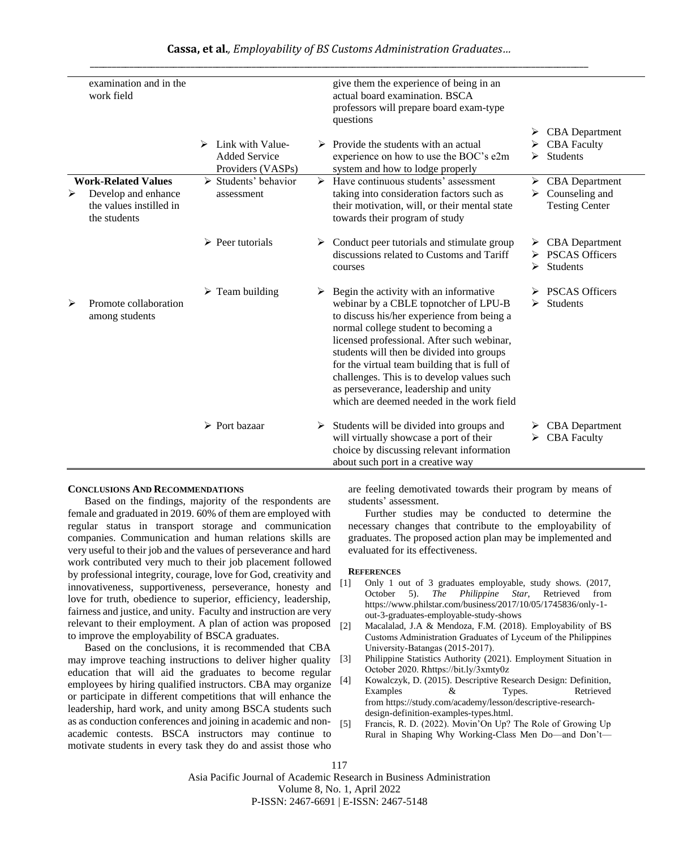|   | examination and in the<br>work field                                                         |   |                                                               |   | give them the experience of being in an<br>actual board examination. BSCA<br>professors will prepare board exam-type<br>questions                                                                                                                                                                                                                                                                                                                     |   |                                                                             |
|---|----------------------------------------------------------------------------------------------|---|---------------------------------------------------------------|---|-------------------------------------------------------------------------------------------------------------------------------------------------------------------------------------------------------------------------------------------------------------------------------------------------------------------------------------------------------------------------------------------------------------------------------------------------------|---|-----------------------------------------------------------------------------|
|   |                                                                                              | ➤ | Link with Value-<br><b>Added Service</b><br>Providers (VASPs) |   | $\triangleright$ Provide the students with an actual<br>experience on how to use the BOC's e2m<br>system and how to lodge properly                                                                                                                                                                                                                                                                                                                    | ➤ | $\triangleright$ CBA Department<br><b>CBA</b> Faculty<br><b>Students</b>    |
| ⋗ | <b>Work-Related Values</b><br>Develop and enhance<br>the values instilled in<br>the students |   | $\triangleright$ Students' behavior<br>assessment             |   | Have continuous students' assessment<br>taking into consideration factors such as<br>their motivation, will, or their mental state<br>towards their program of study                                                                                                                                                                                                                                                                                  | ➤ | $\triangleright$ CBA Department<br>Counseling and<br><b>Testing Center</b>  |
|   |                                                                                              |   | $\triangleright$ Peer tutorials                               |   | $\triangleright$ Conduct peer tutorials and stimulate group<br>discussions related to Customs and Tariff<br>courses                                                                                                                                                                                                                                                                                                                                   | ➤ | $\triangleright$ CBA Department<br><b>PSCAS Officers</b><br><b>Students</b> |
| ➤ | Promote collaboration<br>among students                                                      |   | $\triangleright$ Team building                                | ➤ | Begin the activity with an informative<br>webinar by a CBLE topnotcher of LPU-B<br>to discuss his/her experience from being a<br>normal college student to becoming a<br>licensed professional. After such webinar,<br>students will then be divided into groups<br>for the virtual team building that is full of<br>challenges. This is to develop values such<br>as perseverance, leadership and unity<br>which are deemed needed in the work field |   | <b>PSCAS Officers</b><br>$\triangleright$ Students                          |
|   |                                                                                              |   | $\triangleright$ Port bazaar                                  | ➤ | Students will be divided into groups and<br>will virtually showcase a port of their<br>choice by discussing relevant information<br>about such port in a creative way                                                                                                                                                                                                                                                                                 | ➤ | $\triangleright$ CBA Department<br><b>CBA Faculty</b>                       |

## **CONCLUSIONS AND RECOMMENDATIONS**

Based on the findings, majority of the respondents are female and graduated in 2019. 60% of them are employed with regular status in transport storage and communication companies. Communication and human relations skills are very useful to their job and the values of perseverance and hard work contributed very much to their job placement followed by professional integrity, courage, love for God, creativity and innovativeness, supportiveness, perseverance, honesty and love for truth, obedience to superior, efficiency, leadership, fairness and justice, and unity. Faculty and instruction are very relevant to their employment. A plan of action was proposed to improve the employability of BSCA graduates.

Based on the conclusions, it is recommended that CBA may improve teaching instructions to deliver higher quality education that will aid the graduates to become regular employees by hiring qualified instructors. CBA may organize or participate in different competitions that will enhance the leadership, hard work, and unity among BSCA students such as as conduction conferences and joining in academic and nonacademic contests. BSCA instructors may continue to motivate students in every task they do and assist those who

are feeling demotivated towards their program by means of students' assessment.

Further studies may be conducted to determine the necessary changes that contribute to the employability of graduates. The proposed action plan may be implemented and evaluated for its effectiveness.

#### **REFERENCES**

- [1] Only 1 out of 3 graduates employable, study shows. (2017, October 5). *The Philippine Star*, Retrieved from [https://www.philstar.com/business/2017/10/05/1745836/only-1](https://www.philstar.com/business/2017/10/05/1745836/only-1-out-3-graduates-employable-study-shows) [out-3-graduates-employable-study-shows](https://www.philstar.com/business/2017/10/05/1745836/only-1-out-3-graduates-employable-study-shows)
- [2] Macalalad, J.A & Mendoza, F.M. (2018). Employability of BS Customs Administration Graduates of Lyceum of the Philippines University-Batangas (2015-2017).
- [3] Philippine Statistics Authority (2021). Employment Situation in October 2020. Rhttps://bit.ly/3xmty0z
- [4] Kowalczyk, D. (2015). Descriptive Research Design: Definition, Examples & Types. Retrieved from [https://study.com/academy/lesson/descriptive-research](https://study.com/academy/lesson/descriptive-research-design-definition-examples-types.html)[design-definition-examples-types.html.](https://study.com/academy/lesson/descriptive-research-design-definition-examples-types.html)
- [5] Francis, R. D. (2022). Movin'On Up? The Role of Growing Up Rural in Shaping Why Working-Class Men Do—and Don't—

117